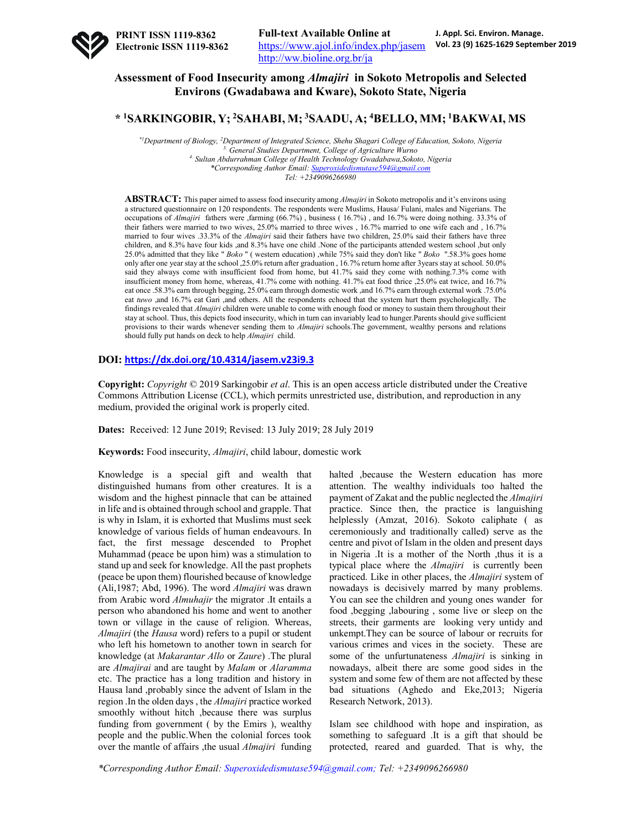

# **Assessment of Food Insecurity among** *Almajiri* **in Sokoto Metropolis and Selected Environs (Gwadabawa and Kware), Sokoto State, Nigeria**

## **\* 1SARKINGOBIR, Y; 2SAHABI, M; 3SAADU, A; 4BELLO, MM; 1BAKWAI, MS**

*\*1Department of Biology, 2 Department of Integrated Science, Shehu Shagari College of Education, Sokoto, Nigeria 3. General Studies Department, College of Agriculture Wurno 4. Sultan Abdurrahman College of Health Technology Gwadabawa,Sokoto, Nigeria \*Corresponding Author Email: Superoxidedismutase594@gmail.com Tel: +2349096266980*

**ABSTRACT:** This paper aimed to assess food insecurity among *Almajiri* in Sokoto metropolis and it's environs using a structured questionnaire on 120 respondents. The respondents were Muslims, Hausa/ Fulani, males and Nigerians. The occupations of *Almajiri* fathers were ,farming (66.7%) , business ( 16.7%) , and 16.7% were doing nothing. 33.3% of their fathers were married to two wives, 25.0% married to three wives , 16.7% married to one wife each and , 16.7% married to four wives .33.3% of the *Almajiri* said their fathers have two children, 25.0% said their fathers have three children, and 8.3% have four kids ,and 8.3% have one child .None of the participants attended western school ,but only 25.0% admitted that they like " *Boko* " ( western education) ,while 75% said they don't like " *Boko* ".58.3% goes home only after one year stay at the school ,25.0% return after graduation , 16.7% return home after 3years stay at school. 50.0% said they always come with insufficient food from home, but 41.7% said they come with nothing.7.3% come with insufficient money from home, whereas, 41.7% come with nothing. 41.7% eat food thrice ,25.0% eat twice, and 16.7% eat once .58.3% earn through begging, 25.0% earn through domestic work ,and 16.7% earn through external work .75.0% eat *tuwo* ,and 16.7% eat Gari ,and others. All the respondents echoed that the system hurt them psychologically. The findings revealed that *Almajiri* children were unable to come with enough food or money to sustain them throughout their stay at school. Thus, this depicts food insecurity, which in turn can invariably lead to hunger.Parents should give sufficient provisions to their wards whenever sending them to *Almajiri* schools.The government, wealthy persons and relations should fully put hands on deck to help *Almajiri* child.

## **DOI: https://dx.doi.org/10.4314/jasem.v23i9.3**

**Copyright:** *Copyright* © 2019 Sarkingobir *et al*. This is an open access article distributed under the Creative Commons Attribution License (CCL), which permits unrestricted use, distribution, and reproduction in any medium, provided the original work is properly cited.

**Dates:** Received: 12 June 2019; Revised: 13 July 2019; 28 July 2019

**Keywords:** Food insecurity, *Almajiri*, child labour, domestic work

Knowledge is a special gift and wealth that distinguished humans from other creatures. It is a wisdom and the highest pinnacle that can be attained in life and is obtained through school and grapple. That is why in Islam, it is exhorted that Muslims must seek knowledge of various fields of human endeavours. In fact, the first message descended to Prophet Muhammad (peace be upon him) was a stimulation to stand up and seek for knowledge. All the past prophets (peace be upon them) flourished because of knowledge (Ali,1987; Abd, 1996). The word *Almajiri* was drawn from Arabic word *Almuhajir* the migrator .It entails a person who abandoned his home and went to another town or village in the cause of religion. Whereas, *Almajiri* (the *Hausa* word) refers to a pupil or student who left his hometown to another town in search for knowledge (at *Makarantar Allo* or *Zaure*) .The plural are *Almajirai* and are taught by *Malam* or *Alaramma* etc. The practice has a long tradition and history in Hausa land ,probably since the advent of Islam in the region .In the olden days , the *Almajiri* practice worked smoothly without hitch ,because there was surplus funding from government ( by the Emirs ), wealthy people and the public.When the colonial forces took over the mantle of affairs ,the usual *Almajiri* funding

halted ,because the Western education has more attention. The wealthy individuals too halted the payment of Zakat and the public neglected the *Almajiri* practice. Since then, the practice is languishing helplessly (Amzat, 2016). Sokoto caliphate ( as ceremoniously and traditionally called) serve as the centre and pivot of Islam in the olden and present days in Nigeria .It is a mother of the North ,thus it is a typical place where the *Almajiri* is currently been practiced. Like in other places, the *Almajiri* system of nowadays is decisively marred by many problems. You can see the children and young ones wander for food ,begging ,labouring , some live or sleep on the streets, their garments are looking very untidy and unkempt.They can be source of labour or recruits for various crimes and vices in the society. These are some of the unfurtunateness *Almajiri* is sinking in nowadays, albeit there are some good sides in the system and some few of them are not affected by these bad situations (Aghedo and Eke,2013; Nigeria Research Network, 2013).

Islam see childhood with hope and inspiration, as something to safeguard .It is a gift that should be protected, reared and guarded. That is why, the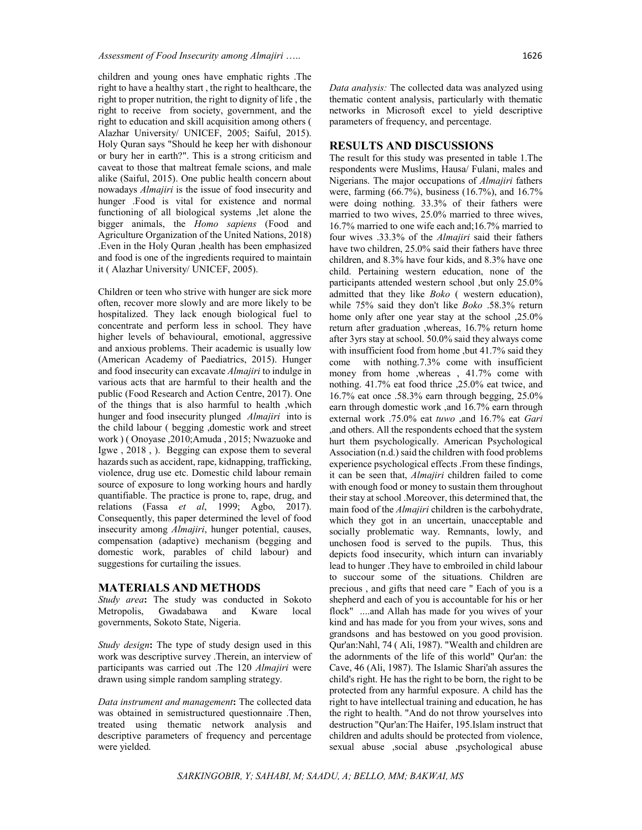children and young ones have emphatic rights .The right to have a healthy start , the right to healthcare, the right to proper nutrition, the right to dignity of life , the right to receive from society, government, and the right to education and skill acquisition among others ( Alazhar University/ UNICEF, 2005; Saiful, 2015). Holy Quran says "Should he keep her with dishonour or bury her in earth?". This is a strong criticism and caveat to those that maltreat female scions, and male alike (Saiful, 2015). One public health concern about nowadays *Almajiri* is the issue of food insecurity and hunger .Food is vital for existence and normal functioning of all biological systems ,let alone the bigger animals, the *Homo sapiens* (Food and Agriculture Organization of the United Nations, 2018) .Even in the Holy Quran ,health has been emphasized and food is one of the ingredients required to maintain it ( Alazhar University/ UNICEF, 2005).

Children or teen who strive with hunger are sick more often, recover more slowly and are more likely to be hospitalized. They lack enough biological fuel to concentrate and perform less in school. They have higher levels of behavioural, emotional, aggressive and anxious problems. Their academic is usually low (American Academy of Paediatrics, 2015). Hunger and food insecurity can excavate *Almajiri* to indulge in various acts that are harmful to their health and the public (Food Research and Action Centre, 2017). One of the things that is also harmful to health ,which hunger and food insecurity plunged *Almajiri* into is the child labour ( begging ,domestic work and street work ) ( Onoyase ,2010;Amuda , 2015; Nwazuoke and Igwe , 2018 , ). Begging can expose them to several hazards such as accident, rape, kidnapping, trafficking, violence, drug use etc. Domestic child labour remain source of exposure to long working hours and hardly quantifiable. The practice is prone to, rape, drug, and relations (Fassa *et al*, 1999; Agbo, 2017). Consequently, this paper determined the level of food insecurity among *Almajiri*, hunger potential, causes, compensation (adaptive) mechanism (begging and domestic work, parables of child labour) and suggestions for curtailing the issues.

### **MATERIALS AND METHODS**

*Study area***:** The study was conducted in Sokoto Metropolis, Gwadabawa and Kware local governments, Sokoto State, Nigeria.

*Study design***:** The type of study design used in this work was descriptive survey .Therein, an interview of participants was carried out .The 120 *Almajiri* were drawn using simple random sampling strategy.

*Data instrument and management***:** The collected data was obtained in semistructured questionnaire .Then, treated using thematic network analysis and descriptive parameters of frequency and percentage were yielded.

*Data analysis:* The collected data was analyzed using thematic content analysis, particularly with thematic networks in Microsoft excel to yield descriptive parameters of frequency, and percentage.

#### **RESULTS AND DISCUSSIONS**

The result for this study was presented in table 1.The respondents were Muslims, Hausa/ Fulani, males and Nigerians. The major occupations of *Almajiri* fathers were, farming (66.7%), business (16.7%), and 16.7% were doing nothing. 33.3% of their fathers were married to two wives, 25.0% married to three wives, 16.7% married to one wife each and;16.7% married to four wives .33.3% of the *Almajiri* said their fathers have two children, 25.0% said their fathers have three children, and 8.3% have four kids, and 8.3% have one child. Pertaining western education, none of the participants attended western school ,but only 25.0% admitted that they like *Boko* ( western education), while 75% said they don't like *Boko* .58.3% return home only after one year stay at the school  $,25.0\%$ return after graduation ,whereas, 16.7% return home after 3yrs stay at school. 50.0% said they always come with insufficient food from home ,but 41.7% said they come with nothing.7.3% come with insufficient money from home ,whereas , 41.7% come with nothing. 41.7% eat food thrice ,25.0% eat twice, and 16.7% eat once .58.3% earn through begging, 25.0% earn through domestic work ,and 16.7% earn through external work .75.0% eat *tuwo* ,and 16.7% eat *Gari* ,and others. All the respondents echoed that the system hurt them psychologically. American Psychological Association (n.d.) said the children with food problems experience psychological effects .From these findings, it can be seen that, *Almajiri* children failed to come with enough food or money to sustain them throughout their stay at school .Moreover, this determined that, the main food of the *Almajiri* children is the carbohydrate, which they got in an uncertain, unacceptable and socially problematic way. Remnants, lowly, and unchosen food is served to the pupils. Thus, this depicts food insecurity, which inturn can invariably lead to hunger .They have to embroiled in child labour to succour some of the situations. Children are precious , and gifts that need care " Each of you is a shepherd and each of you is accountable for his or her flock" ....and Allah has made for you wives of your kind and has made for you from your wives, sons and grandsons and has bestowed on you good provision. Qur'an:Nahl, 74 ( Ali, 1987). "Wealth and children are the adornments of the life of this world" Qur'an: the Cave, 46 (Ali, 1987). The Islamic Shari'ah assures the child's right. He has the right to be born, the right to be protected from any harmful exposure. A child has the right to have intellectual training and education, he has the right to health. "And do not throw yourselves into destruction "Qur'an:The Haifer, 195.Islam instruct that children and adults should be protected from violence, sexual abuse ,social abuse ,psychological abuse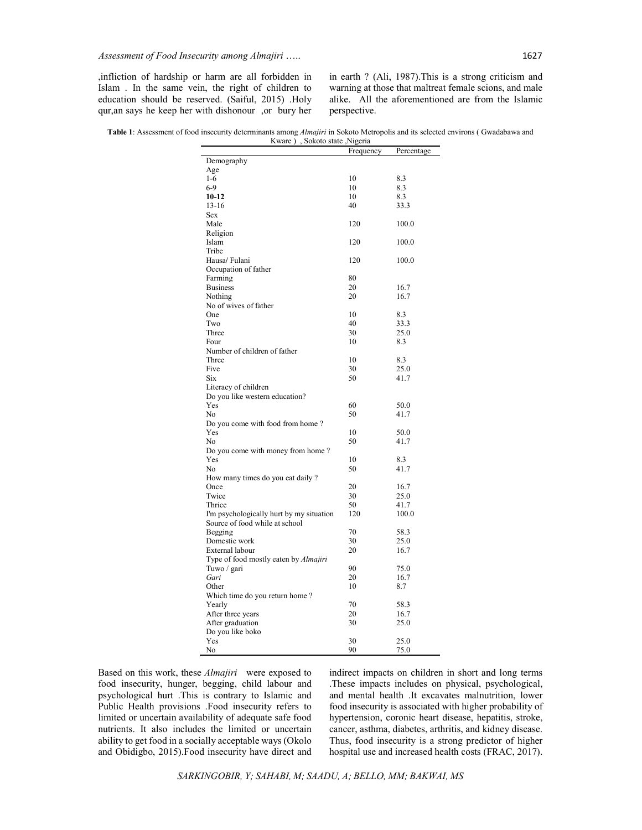,infliction of hardship or harm are all forbidden in Islam . In the same vein, the right of children to education should be reserved. (Saiful, 2015) .Holy qur,an says he keep her with dishonour ,or bury her in earth ? (Ali, 1987).This is a strong criticism and warning at those that maltreat female scions, and male alike. All the aforementioned are from the Islamic perspective.

**Table 1**: Assessment of food insecurity determinants among *Almajiri* in Sokoto Metropolis and its selected environs ( Gwadabawa and Kware ) , Sokoto state ,Nigeria

| Kware)<br>Sokoto state , Nigeria         |           |            |
|------------------------------------------|-----------|------------|
|                                          | Frequency | Percentage |
| Demography                               |           |            |
| Age                                      |           |            |
| $1-6$                                    | 10        | 8.3        |
| $6-9$                                    | 10        | 8.3        |
| 10-12                                    | 10        | 8.3        |
| 13-16                                    | 40        | 33.3       |
| Sex                                      |           |            |
| Male                                     | 120       | 100.0      |
| Religion                                 |           |            |
| Islam                                    | 120       | 100.0      |
| Tribe                                    |           |            |
| Hausa/ Fulani                            | 120       | 100.0      |
| Occupation of father                     |           |            |
| Farming                                  | 80        |            |
| <b>Business</b>                          | 20        | 16.7       |
| Nothing                                  | 20        | 16.7       |
| No of wives of father                    |           |            |
| One                                      | 10        | 8.3        |
| Two                                      | 40        | 33.3       |
| Three                                    | 30        | 25.0       |
| Four                                     | 10        | 8.3        |
| Number of children of father             |           |            |
| Three                                    | 10        | 8.3        |
| Five                                     | 30        | 25.0       |
| Six                                      | 50        | 41.7       |
| Literacy of children                     |           |            |
| Do you like western education?           |           |            |
| Yes                                      | 60        | 50.0       |
| No                                       | 50        | 41.7       |
| Do you come with food from home?         |           |            |
| Yes                                      | 10        | 50.0       |
| No                                       | 50        | 41.7       |
| Do you come with money from home?        |           |            |
| Yes                                      | 10        | 8.3        |
| No                                       | 50        | 41.7       |
| How many times do you eat daily?         |           |            |
| Once                                     | 20        | 16.7       |
| Twice                                    | 30        | 25.0       |
| Thrice                                   | 50        | 41.7       |
| I'm psychologically hurt by my situation | 120       | 100.0      |
| Source of food while at school           |           |            |
| Begging                                  | 70        | 58.3       |
| Domestic work                            | 30        | 25.0       |
| External labour                          | 20        | 16.7       |
| Type of food mostly eaten by Almajiri    |           |            |
| Tuwo / gari                              | 90        | 75.0       |
| Gari                                     | 20        | 16.7       |
| Other                                    | 10        | 8.7        |
| Which time do you return home?           |           |            |
| Yearly                                   | 70        | 58.3       |
| After three years                        | 20        | 16.7       |
| After graduation                         | 30        | 25.0       |
| Do you like boko                         |           |            |
| Yes                                      | 30        | 25.0       |
| No                                       | 90        | 75.0       |

Based on this work, these *Almajiri* were exposed to food insecurity, hunger, begging, child labour and psychological hurt .This is contrary to Islamic and Public Health provisions .Food insecurity refers to limited or uncertain availability of adequate safe food nutrients. It also includes the limited or uncertain ability to get food in a socially acceptable ways (Okolo and Obidigbo, 2015).Food insecurity have direct and

indirect impacts on children in short and long terms .These impacts includes on physical, psychological, and mental health .It excavates malnutrition, lower food insecurity is associated with higher probability of hypertension, coronic heart disease, hepatitis, stroke, cancer, asthma, diabetes, arthritis, and kidney disease. Thus, food insecurity is a strong predictor of higher hospital use and increased health costs (FRAC, 2017).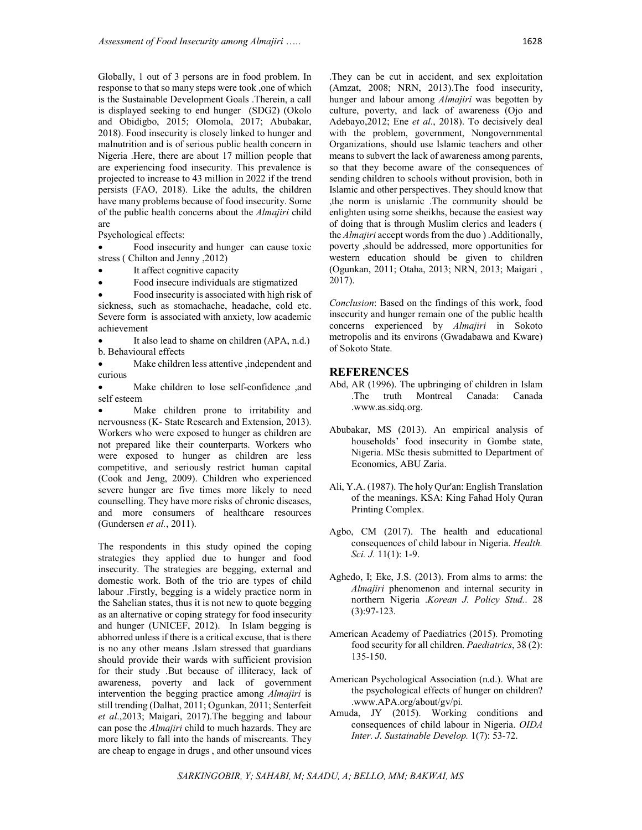Globally, 1 out of 3 persons are in food problem. In response to that so many steps were took ,one of which is the Sustainable Development Goals .Therein, a call is displayed seeking to end hunger (SDG2) (Okolo and Obidigbo, 2015; Olomola, 2017; Abubakar, 2018). Food insecurity is closely linked to hunger and malnutrition and is of serious public health concern in Nigeria .Here, there are about 17 million people that are experiencing food insecurity. This prevalence is projected to increase to 43 million in 2022 if the trend persists (FAO, 2018). Like the adults, the children have many problems because of food insecurity. Some of the public health concerns about the *Almajiri* child are

Psychological effects:

 Food insecurity and hunger can cause toxic stress ( Chilton and Jenny ,2012)

- It affect cognitive capacity
- Food insecure individuals are stigmatized

 Food insecurity is associated with high risk of sickness, such as stomachache, headache, cold etc. Severe form is associated with anxiety, low academic achievement

 It also lead to shame on children (APA, n.d.) b. Behavioural effects

 Make children less attentive ,independent and curious

 Make children to lose self-confidence ,and self esteem

 Make children prone to irritability and nervousness (K- State Research and Extension, 2013). Workers who were exposed to hunger as children are not prepared like their counterparts. Workers who were exposed to hunger as children are less competitive, and seriously restrict human capital (Cook and Jeng, 2009). Children who experienced severe hunger are five times more likely to need counselling. They have more risks of chronic diseases, and more consumers of healthcare resources (Gundersen *et al.*, 2011).

The respondents in this study opined the coping strategies they applied due to hunger and food insecurity. The strategies are begging, external and domestic work. Both of the trio are types of child labour .Firstly, begging is a widely practice norm in the Sahelian states, thus it is not new to quote begging as an alternative or coping strategy for food insecurity and hunger (UNICEF, 2012). In Islam begging is abhorred unless if there is a critical excuse, that is there is no any other means .Islam stressed that guardians should provide their wards with sufficient provision for their study .But because of illiteracy, lack of awareness, poverty and lack of government intervention the begging practice among *Almajiri* is still trending (Dalhat, 2011; Ogunkan, 2011; Senterfeit *et al*.,2013; Maigari, 2017).The begging and labour can pose the *Almajiri* child to much hazards. They are more likely to fall into the hands of miscreants. They are cheap to engage in drugs , and other unsound vices

.They can be cut in accident, and sex exploitation (Amzat, 2008; NRN, 2013).The food insecurity, hunger and labour among *Almajiri* was begotten by culture, poverty, and lack of awareness (Ojo and Adebayo,2012; Ene *et al*., 2018). To decisively deal with the problem, government, Nongovernmental Organizations, should use Islamic teachers and other means to subvert the lack of awareness among parents, so that they become aware of the consequences of sending children to schools without provision, both in Islamic and other perspectives. They should know that ,the norm is unislamic .The community should be enlighten using some sheikhs, because the easiest way of doing that is through Muslim clerics and leaders ( the *Almajiri* accept words from the duo ) .Additionally,

poverty ,should be addressed, more opportunities for western education should be given to children (Ogunkan, 2011; Otaha, 2013; NRN, 2013; Maigari , 2017).

*Conclusion*: Based on the findings of this work, food insecurity and hunger remain one of the public health concerns experienced by *Almajiri* in Sokoto metropolis and its environs (Gwadabawa and Kware) of Sokoto State.

### **REFERENCES**

- Abd, AR (1996). The upbringing of children in Islam .The truth Montreal Canada: Canada .www.as.sidq.org.
- Abubakar, MS (2013). An empirical analysis of households' food insecurity in Gombe state, Nigeria. MSc thesis submitted to Department of Economics, ABU Zaria.
- Ali, Y.A. (1987). The holy Qur'an: English Translation of the meanings. KSA: King Fahad Holy Quran Printing Complex.
- Agbo, CM (2017). The health and educational consequences of child labour in Nigeria. *Health. Sci. J.* 11(1): 1-9.
- Aghedo, I; Eke, J.S. (2013). From alms to arms: the *Almajiri* phenomenon and internal security in northern Nigeria .*Korean J. Policy Stud.*. 28 (3):97-123.
- American Academy of Paediatrics (2015). Promoting food security for all children. *Paediatrics*, 38 (2): 135-150.
- American Psychological Association (n.d.). What are the psychological effects of hunger on children? .www.APA.org/about/gv/pi.
- Amuda, JY (2015). Working conditions and consequences of child labour in Nigeria. *OIDA Inter. J. Sustainable Develop.* 1(7): 53-72.